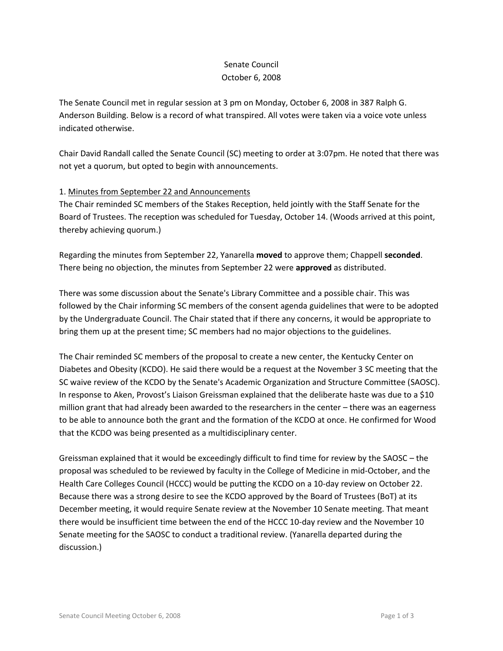# Senate Council October 6, 2008

The Senate Council met in regular session at 3 pm on Monday, October 6, 2008 in 387 Ralph G. Anderson Building. Below is a record of what transpired. All votes were taken via a voice vote unless indicated otherwise.

Chair David Randall called the Senate Council (SC) meeting to order at 3:07pm. He noted that there was not yet a quorum, but opted to begin with announcements.

# 1. Minutes from September 22 and Announcements

The Chair reminded SC members of the Stakes Reception, held jointly with the Staff Senate for the Board of Trustees. The reception was scheduled for Tuesday, October 14. (Woods arrived at this point, thereby achieving quorum.)

Regarding the minutes from September 22, Yanarella **moved** to approve them; Chappell **seconded**. There being no objection, the minutes from September 22 were **approved** as distributed.

There was some discussion about the Senate's Library Committee and a possible chair. This was followed by the Chair informing SC members of the consent agenda guidelines that were to be adopted by the Undergraduate Council. The Chair stated that if there any concerns, it would be appropriate to bring them up at the present time; SC members had no major objections to the guidelines.

The Chair reminded SC members of the proposal to create a new center, the Kentucky Center on Diabetes and Obesity (KCDO). He said there would be a request at the November 3 SC meeting that the SC waive review of the KCDO by the Senate's Academic Organization and Structure Committee (SAOSC). In response to Aken, Provost's Liaison Greissman explained that the deliberate haste was due to a \$10 million grant that had already been awarded to the researchers in the center – there was an eagerness to be able to announce both the grant and the formation of the KCDO at once. He confirmed for Wood that the KCDO was being presented as a multidisciplinary center.

Greissman explained that it would be exceedingly difficult to find time for review by the SAOSC – the proposal was scheduled to be reviewed by faculty in the College of Medicine in mid-October, and the Health Care Colleges Council (HCCC) would be putting the KCDO on a 10-day review on October 22. Because there was a strong desire to see the KCDO approved by the Board of Trustees (BoT) at its December meeting, it would require Senate review at the November 10 Senate meeting. That meant there would be insufficient time between the end of the HCCC 10-day review and the November 10 Senate meeting for the SAOSC to conduct a traditional review. (Yanarella departed during the discussion.)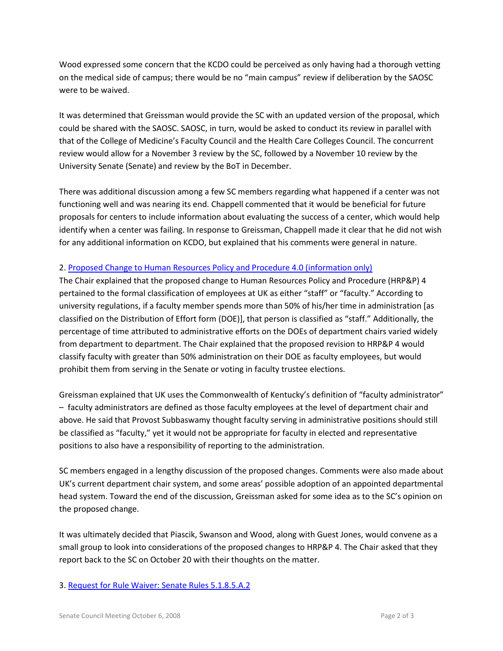Wood expressed some concern that the KCDO could be perceived as only having had a thorough vetting on the medical side of campus; there would be no "main campus" review if deliberation by the SAOSC were to be waived.

It was determined that Greissman would provide the SC with an updated version of the proposal, which could be shared with the SAOSC. SAOSC, in turn, would be asked to conduct its review in parallel with that of the College of Medicine's Faculty Council and the Health Care Colleges Council. The concurrent review would allow for a November 3 review by the SC, followed by a November 10 review by the University Senate (Senate) and review by the BoT in December.

There was additional discussion among a few SC members regarding what happened if a center was not functioning well and was nearing its end. Chappell commented that it would be beneficial for future proposals for centers to include information about evaluating the success of a center, which would help identify when a center was failing. In response to Greissman, Chappell made it clear that he did not wish for any additional information on KCDO, but explained that his comments were general in nature.

## 2. [Proposed Change to Human Resources Policy and Procedure 4.0 \(information only\)](http://www.uky.edu/USC/New/files/HR%204%201%201%201%20(tracked%20revision%209-30-08).pdf)

The Chair explained that the proposed change to Human Resources Policy and Procedure (HRP&P) 4 pertained to the formal classification of employees at UK as either "staff" or "faculty." According to university regulations, if a faculty member spends more than 50% of his/her time in administration [as classified on the Distribution of Effort form (DOE)], that person is classified as "staff." Additionally, the percentage of time attributed to administrative efforts on the DOEs of department chairs varied widely from department to department. The Chair explained that the proposed revision to HRP&P 4 would classify faculty with greater than 50% administration on their DOE as faculty employees, but would prohibit them from serving in the Senate or voting in faculty trustee elections.

Greissman explained that UK uses the Commonwealth of Kentucky's definition of "faculty administrator" – faculty administrators are defined as those faculty employees at the level of department chair and above. He said that Provost Subbaswamy thought faculty serving in administrative positions should still be classified as "faculty," yet it would not be appropriate for faculty in elected and representative positions to also have a responsibility of reporting to the administration.

SC members engaged in a lengthy discussion of the proposed changes. Comments were also made about UK's current department chair system, and some areas' possible adoption of an appointed departmental head system. Toward the end of the discussion, Greissman asked for some idea as to the SC's opinion on the proposed change.

It was ultimately decided that Piascik, Swanson and Wood, along with Guest Jones, would convene as a small group to look into considerations of the proposed changes to HRP&P 4. The Chair asked that they report back to the SC on October 20 with their thoughts on the matter.

#### 3. [Request for Rule Waiver: Senate Rules 5.1.8.5.A.2](http://www.uky.edu/USC/New/files/RWA%20Waiver%20JP-61.pdf)